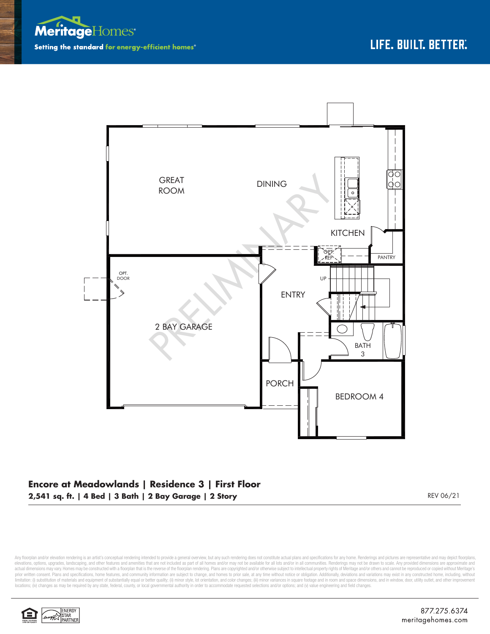



## **Encore at Meadowlands | Residence 3 | First Floor 2,541 sq. ft. | 4 Bed | 3 Bath | 2 Bay Garage | 2 Story** REV 06/21

Any floorplan and/or elevation rendering is an artist's conceptual rendering intended to provide a general overview, but any such rendering does not constitute actual plans and specifications for any home. Renderings and p elevations, opions, upgrades, landscaping, and other features and amenities that are not included as part of all homes and/or may not be available for all lots and/or in all communities. Renderings may not be drawn to scal prior written consent. Plans and specifications, home features, and community information are subject to change, and homes to prior sale, at any time without notice or obligation. Additionally, deviations and variations ma limitation: (i) substitution of materials and equipment of substantially equal or better quality; (ii) minor style, lot orientation, and color changes; (iii) minor variances in square footage and in room and space dimensio locations; (iv) changes as may be required by any state, federal, county, or local governmental authority in order to accommodate requested selections and/or options; and (v) value engineering and field changes.